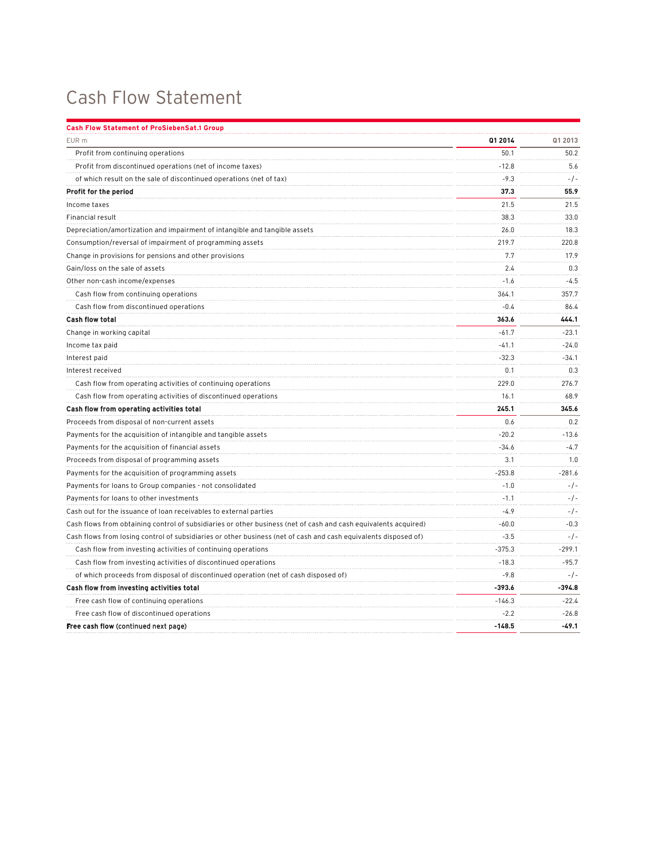## Cash Flow Statement

| <b>Cash Flow Statement of ProSiebenSat.1 Group</b>                                                              |          |          |
|-----------------------------------------------------------------------------------------------------------------|----------|----------|
| EUR <sub>m</sub>                                                                                                | Q1 2014  | Q1 2013  |
| Profit from continuing operations                                                                               | 50.1     | 50.2     |
| Profit from discontinued operations (net of income taxes)                                                       | $-12.8$  | 5.6      |
| of which result on the sale of discontinued operations (net of tax)                                             | $-9.3$   | $-/-$    |
| Profit for the period                                                                                           | 37.3     | 55.9     |
| Income taxes                                                                                                    | 21.5     | 21.5     |
| Financial result                                                                                                | 38.3     | 33.0     |
| Depreciation/amortization and impairment of intangible and tangible assets                                      | 26.0     | 18.3     |
| Consumption/reversal of impairment of programming assets                                                        | 219.7    | 220.8    |
| Change in provisions for pensions and other provisions                                                          | 7.7      | 17.9     |
| Gain/loss on the sale of assets                                                                                 | 2.4      | 0.3      |
| Other non-cash income/expenses                                                                                  | $-1.6$   | $-4.5$   |
| Cash flow from continuing operations                                                                            | 364.1    | 357.7    |
| Cash flow from discontinued operations                                                                          | $-0.4$   | 86.4     |
| <b>Cash flow total</b>                                                                                          | 363.6    | 444.1    |
| Change in working capital                                                                                       | $-61.7$  | $-23.1$  |
| Income tax paid                                                                                                 | $-41.1$  | $-24.0$  |
| Interest paid                                                                                                   | $-32.3$  | $-34.1$  |
| Interest received                                                                                               | 0.1      | 0.3      |
| Cash flow from operating activities of continuing operations                                                    | 229.0    | 276.7    |
| Cash flow from operating activities of discontinued operations                                                  | 16.1     | 68.9     |
| Cash flow from operating activities total                                                                       | 245.1    | 345.6    |
| Proceeds from disposal of non-current assets                                                                    | 0.6      | 0.2      |
| Payments for the acquisition of intangible and tangible assets                                                  | $-20.2$  | $-13.6$  |
| Payments for the acquisition of financial assets                                                                | $-34.6$  | $-4.7$   |
| Proceeds from disposal of programming assets                                                                    | 3.1      | 1.0      |
| Payments for the acquisition of programming assets                                                              | $-253.8$ | $-281.6$ |
| Payments for loans to Group companies - not consolidated                                                        | $-1.0$   | $-/-$    |
| Payments for loans to other investments                                                                         | $-1.1$   | $-/-$    |
| Cash out for the issuance of loan receivables to external parties                                               | $-4.9$   | $-/-$    |
| Cash flows from obtaining control of subsidiaries or other business (net of cash and cash equivalents acquired) | $-60.0$  | $-0.3$   |
| Cash flows from losing control of subsidiaries or other business (net of cash and cash equivalents disposed of) | $-3.5$   | -/-      |
| Cash flow from investing activities of continuing operations                                                    | $-375.3$ | $-299.1$ |
| Cash flow from investing activities of discontinued operations                                                  | $-18.3$  | $-95.7$  |
| of which proceeds from disposal of discontinued operation (net of cash disposed of)                             | $-9.8$   | $-/-$    |
| Cash flow from investing activities total                                                                       | $-393.6$ | -394.8   |
| Free cash flow of continuing operations                                                                         | $-146.3$ | $-22.4$  |
| Free cash flow of discontinued operations                                                                       | -2.2     | $-26.8$  |
| Free cash flow (continued next page)                                                                            | $-148.5$ | $-49.1$  |